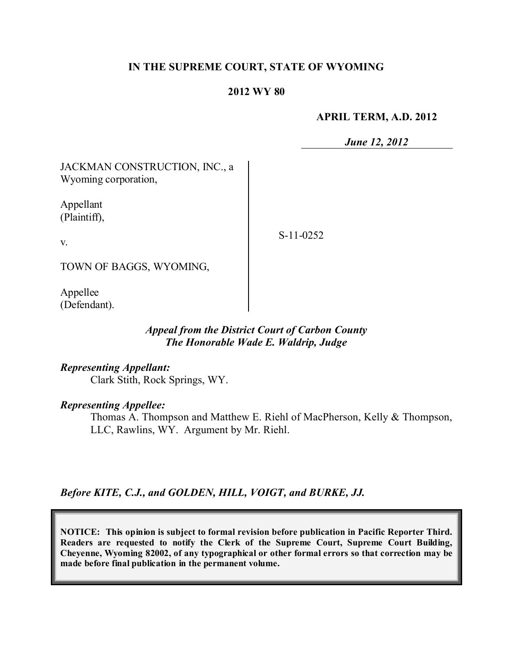## **IN THE SUPREME COURT, STATE OF WYOMING**

#### **2012 WY 80**

#### **APRIL TERM, A.D. 2012**

*June 12, 2012*

JACKMAN CONSTRUCTION, INC., a Wyoming corporation,

Appellant (Plaintiff),

v.

S-11-0252

TOWN OF BAGGS, WYOMING,

Appellee (Defendant).

## *Appeal from the District Court of Carbon County The Honorable Wade E. Waldrip, Judge*

#### *Representing Appellant:*

Clark Stith, Rock Springs, WY.

#### *Representing Appellee:*

Thomas A. Thompson and Matthew E. Riehl of MacPherson, Kelly & Thompson, LLC, Rawlins, WY. Argument by Mr. Riehl.

*Before KITE, C.J., and GOLDEN, HILL, VOIGT, and BURKE, JJ.*

**NOTICE: This opinion is subject to formal revision before publication in Pacific Reporter Third. Readers are requested to notify the Clerk of the Supreme Court, Supreme Court Building, Cheyenne, Wyoming 82002, of any typographical or other formal errors so that correction may be made before final publication in the permanent volume.**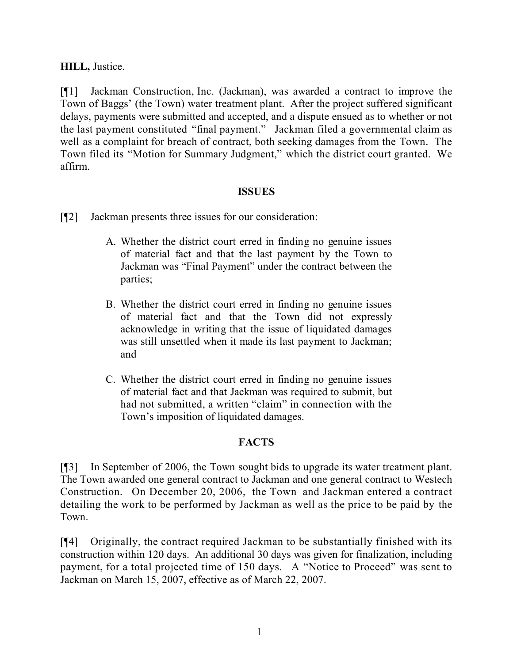# **HILL,** Justice.

[¶1] Jackman Construction, Inc. (Jackman), was awarded a contract to improve the Town of Baggs' (the Town) water treatment plant. After the project suffered significant delays, payments were submitted and accepted, and a dispute ensued as to whether or not the last payment constituted "final payment." Jackman filed a governmental claim as well as a complaint for breach of contract, both seeking damages from the Town. The Town filed its "Motion for Summary Judgment," which the district court granted. We affirm.

## **ISSUES**

[¶2] Jackman presents three issues for our consideration:

- A. Whether the district court erred in finding no genuine issues of material fact and that the last payment by the Town to Jackman was "Final Payment" under the contract between the parties;
- B. Whether the district court erred in finding no genuine issues of material fact and that the Town did not expressly acknowledge in writing that the issue of liquidated damages was still unsettled when it made its last payment to Jackman; and
- C. Whether the district court erred in finding no genuine issues of material fact and that Jackman was required to submit, but had not submitted, a written "claim" in connection with the Town's imposition of liquidated damages.

### **FACTS**

[¶3] In September of 2006, the Town sought bids to upgrade its water treatment plant. The Town awarded one general contract to Jackman and one general contract to Westech Construction. On December 20, 2006, the Town and Jackman entered a contract detailing the work to be performed by Jackman as well as the price to be paid by the Town.

[¶4] Originally, the contract required Jackman to be substantially finished with its construction within 120 days. An additional 30 days was given for finalization, including payment, for a total projected time of 150 days. A "Notice to Proceed" was sent to Jackman on March 15, 2007, effective as of March 22, 2007.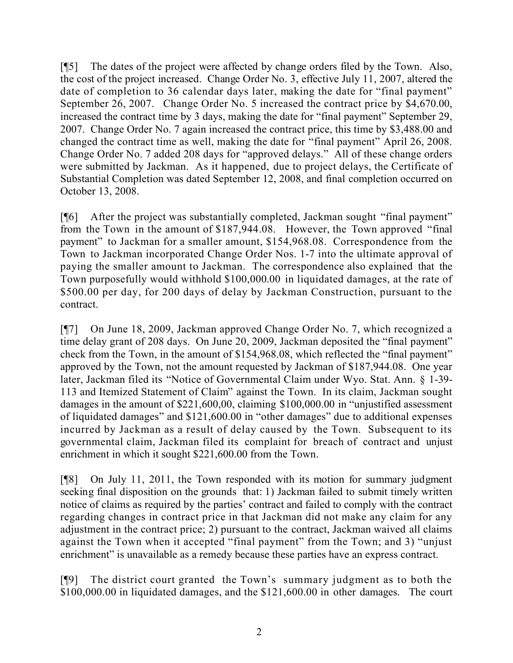[¶5] The dates of the project were affected by change orders filed by the Town. Also, the cost of the project increased. Change Order No. 3, effective July 11, 2007, altered the date of completion to 36 calendar days later, making the date for "final payment" September 26, 2007. Change Order No. 5 increased the contract price by \$4,670.00, increased the contract time by 3 days, making the date for "final payment" September 29, 2007. Change Order No. 7 again increased the contract price, this time by \$3,488.00 and changed the contract time as well, making the date for "final payment" April 26, 2008. Change Order No. 7 added 208 days for "approved delays." All of these change orders were submitted by Jackman. As it happened, due to project delays, the Certificate of Substantial Completion was dated September 12, 2008, and final completion occurred on October 13, 2008.

[¶6] After the project was substantially completed, Jackman sought "final payment" from the Town in the amount of \$187,944.08. However, the Town approved "final payment" to Jackman for a smaller amount, \$154,968.08. Correspondence from the Town to Jackman incorporated Change Order Nos. 1-7 into the ultimate approval of paying the smaller amount to Jackman. The correspondence also explained that the Town purposefully would withhold \$100,000.00 in liquidated damages, at the rate of \$500.00 per day, for 200 days of delay by Jackman Construction, pursuant to the contract.

[¶7] On June 18, 2009, Jackman approved Change Order No. 7, which recognized a time delay grant of 208 days. On June 20, 2009, Jackman deposited the "final payment" check from the Town, in the amount of \$154,968.08, which reflected the "final payment" approved by the Town, not the amount requested by Jackman of \$187,944.08. One year later, Jackman filed its "Notice of Governmental Claim under Wyo. Stat. Ann. § 1-39- 113 and Itemized Statement of Claim" against the Town. In its claim, Jackman sought damages in the amount of \$221,600,00, claiming \$100,000.00 in "unjustified assessment of liquidated damages" and \$121,600.00 in "other damages" due to additional expenses incurred by Jackman as a result of delay caused by the Town. Subsequent to its governmental claim, Jackman filed its complaint for breach of contract and unjust enrichment in which it sought \$221,600.00 from the Town.

[¶8] On July 11, 2011, the Town responded with its motion for summary judgment seeking final disposition on the grounds that: 1) Jackman failed to submit timely written notice of claims as required by the parties' contract and failed to comply with the contract regarding changes in contract price in that Jackman did not make any claim for any adjustment in the contract price; 2) pursuant to the contract, Jackman waived all claims against the Town when it accepted "final payment" from the Town; and 3) "unjust enrichment" is unavailable as a remedy because these parties have an express contract.

[¶9] The district court granted the Town's summary judgment as to both the \$100,000.00 in liquidated damages, and the \$121,600.00 in other damages. The court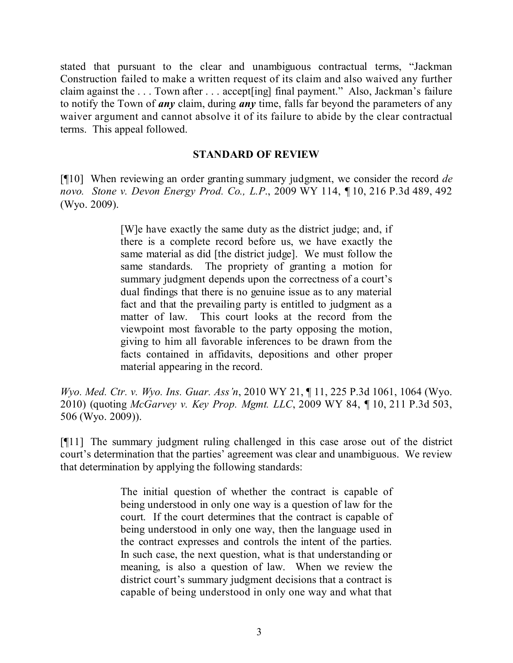stated that pursuant to the clear and unambiguous contractual terms, "Jackman Construction failed to make a written request of its claim and also waived any further claim against the . . . Town after . . . accept[ing] final payment." Also, Jackman's failure to notify the Town of *any* claim, during *any* time, falls far beyond the parameters of any waiver argument and cannot absolve it of its failure to abide by the clear contractual terms. This appeal followed.

### **STANDARD OF REVIEW**

[¶10] When reviewing an order granting summary judgment, we consider the record *de novo. Stone v. Devon Energy Prod. Co., L.P*., 2009 WY 114, ¶ 10, 216 P.3d 489, 492 (Wyo. 2009).

> [W]e have exactly the same duty as the district judge; and, if there is a complete record before us, we have exactly the same material as did [the district judge]. We must follow the same standards. The propriety of granting a motion for summary judgment depends upon the correctness of a court's dual findings that there is no genuine issue as to any material fact and that the prevailing party is entitled to judgment as a matter of law. This court looks at the record from the viewpoint most favorable to the party opposing the motion, giving to him all favorable inferences to be drawn from the facts contained in affidavits, depositions and other proper material appearing in the record.

*Wyo. Med. Ctr. v. Wyo. Ins. Guar. Ass'n*, 2010 WY 21, ¶ 11, 225 P.3d 1061, 1064 (Wyo. 2010) (quoting *McGarvey v. Key Prop. Mgmt. LLC*, 2009 WY 84, ¶ 10, 211 P.3d 503, 506 (Wyo. 2009)).

[¶11] The summary judgment ruling challenged in this case arose out of the district court's determination that the parties' agreement was clear and unambiguous. We review that determination by applying the following standards:

> The initial question of whether the contract is capable of being understood in only one way is a question of law for the court. If the court determines that the contract is capable of being understood in only one way, then the language used in the contract expresses and controls the intent of the parties. In such case, the next question, what is that understanding or meaning, is also a question of law. When we review the district court's summary judgment decisions that a contract is capable of being understood in only one way and what that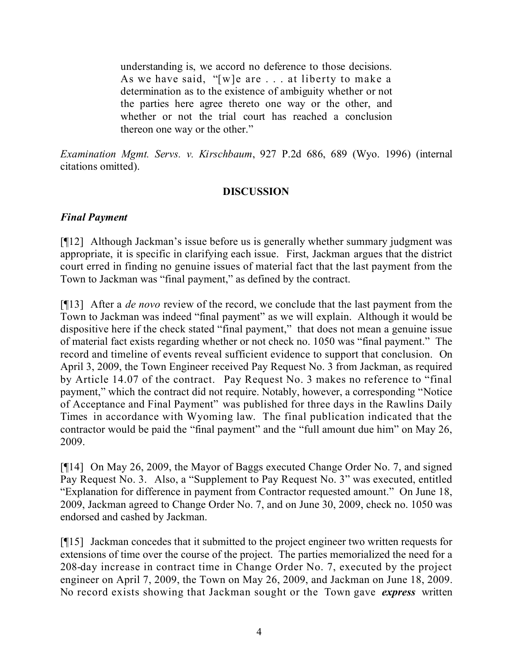understanding is, we accord no deference to those decisions. As we have said, "[w]e are . . . at liberty to make a determination as to the existence of ambiguity whether or not the parties here agree thereto one way or the other, and whether or not the trial court has reached a conclusion thereon one way or the other."

*Examination Mgmt. Servs. v. Kirschbaum*, 927 P.2d 686, 689 (Wyo. 1996) (internal citations omitted).

# **DISCUSSION**

# *Final Payment*

[¶12] Although Jackman's issue before us is generally whether summary judgment was appropriate, it is specific in clarifying each issue. First, Jackman argues that the district court erred in finding no genuine issues of material fact that the last payment from the Town to Jackman was "final payment," as defined by the contract.

[¶13] After a *de novo* review of the record, we conclude that the last payment from the Town to Jackman was indeed "final payment" as we will explain. Although it would be dispositive here if the check stated "final payment," that does not mean a genuine issue of material fact exists regarding whether or not check no. 1050 was "final payment." The record and timeline of events reveal sufficient evidence to support that conclusion. On April 3, 2009, the Town Engineer received Pay Request No. 3 from Jackman, as required by Article 14.07 of the contract. Pay Request No. 3 makes no reference to "final payment," which the contract did not require. Notably, however, a corresponding "Notice of Acceptance and Final Payment" was published for three days in the Rawlins Daily Times in accordance with Wyoming law. The final publication indicated that the contractor would be paid the "final payment" and the "full amount due him" on May 26, 2009.

[¶14] On May 26, 2009, the Mayor of Baggs executed Change Order No. 7, and signed Pay Request No. 3. Also, a "Supplement to Pay Request No. 3" was executed, entitled "Explanation for difference in payment from Contractor requested amount." On June 18, 2009, Jackman agreed to Change Order No. 7, and on June 30, 2009, check no. 1050 was endorsed and cashed by Jackman.

[¶15] Jackman concedes that it submitted to the project engineer two written requests for extensions of time over the course of the project. The parties memorialized the need for a 208-day increase in contract time in Change Order No. 7, executed by the project engineer on April 7, 2009, the Town on May 26, 2009, and Jackman on June 18, 2009. No record exists showing that Jackman sought or the Town gave *express* written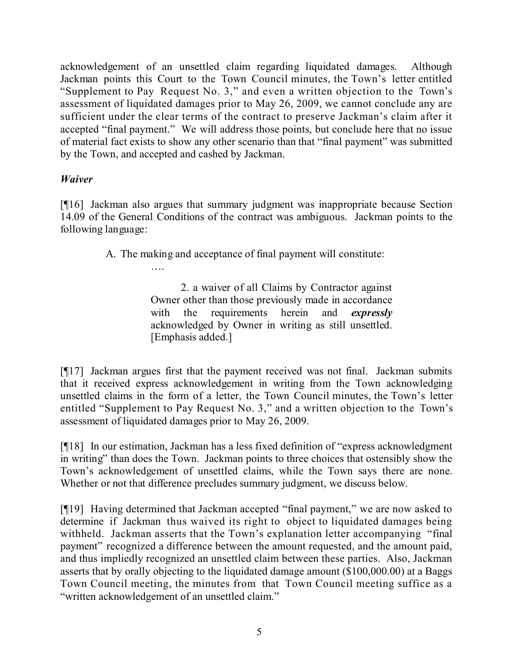acknowledgement of an unsettled claim regarding liquidated damages. Although Jackman points this Court to the Town Council minutes, the Town's letter entitled "Supplement to Pay Request No. 3," and even a written objection to the Town's assessment of liquidated damages prior to May 26, 2009, we cannot conclude any are sufficient under the clear terms of the contract to preserve Jackman's claim after it accepted "final payment." We will address those points, but conclude here that no issue of material fact exists to show any other scenario than that "final payment" was submitted by the Town, and accepted and cashed by Jackman.

# *Waiver*

[¶16] Jackman also argues that summary judgment was inappropriate because Section 14.09 of the General Conditions of the contract was ambiguous. Jackman points to the following language:

A. The making and acceptance of final payment will constitute:

….

2. a waiver of all Claims by Contractor against Owner other than those previously made in accordance with the requirements herein and *expressly* acknowledged by Owner in writing as still unsettled. [Emphasis added.]

[¶17] Jackman argues first that the payment received was not final. Jackman submits that it received express acknowledgement in writing from the Town acknowledging unsettled claims in the form of a letter, the Town Council minutes, the Town's letter entitled "Supplement to Pay Request No. 3," and a written objection to the Town's assessment of liquidated damages prior to May 26, 2009.

[¶18] In our estimation, Jackman has a less fixed definition of "express acknowledgment in writing" than does the Town. Jackman points to three choices that ostensibly show the Town's acknowledgement of unsettled claims, while the Town says there are none. Whether or not that difference precludes summary judgment, we discuss below.

[¶19] Having determined that Jackman accepted "final payment," we are now asked to determine if Jackman thus waived its right to object to liquidated damages being withheld. Jackman asserts that the Town's explanation letter accompanying "final payment" recognized a difference between the amount requested, and the amount paid, and thus impliedly recognized an unsettled claim between these parties. Also, Jackman asserts that by orally objecting to the liquidated damage amount (\$100,000.00) at a Baggs Town Council meeting, the minutes from that Town Council meeting suffice as a "written acknowledgement of an unsettled claim."